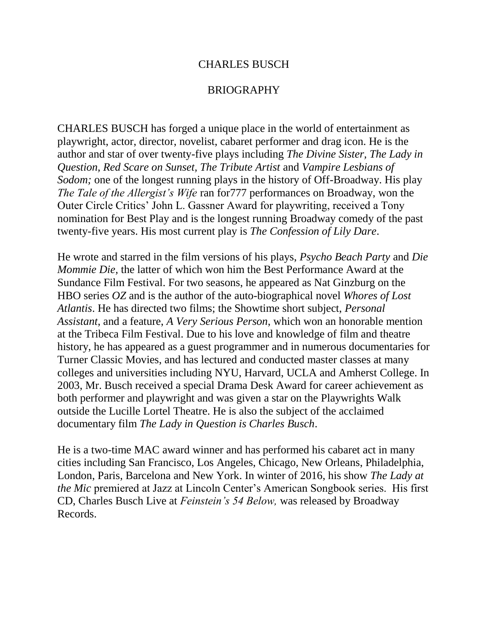## CHARLES BUSCH

## BRIOGRAPHY

CHARLES BUSCH has forged a unique place in the world of entertainment as playwright, actor, director, novelist, cabaret performer and drag icon. He is the author and star of over twenty-five plays including *The Divine Sister, The Lady in Question, Red Scare on Sunset, The Tribute Artist* and *Vampire Lesbians of Sodom;* one of the longest running plays in the history of Off-Broadway. His play *The Tale of the Allergist's Wife* ran for777 performances on Broadway, won the Outer Circle Critics' John L. Gassner Award for playwriting, received a Tony nomination for Best Play and is the longest running Broadway comedy of the past twenty-five years. His most current play is *The Confession of Lily Dare*.

He wrote and starred in the film versions of his plays, *Psycho Beach Party* and *Die Mommie Die,* the latter of which won him the Best Performance Award at the Sundance Film Festival. For two seasons, he appeared as Nat Ginzburg on the HBO series *OZ* and is the author of the auto-biographical novel *Whores of Lost Atlantis*. He has directed two films; the Showtime short subject, *Personal Assistant*, and a feature, *A Very Serious Person*, which won an honorable mention at the Tribeca Film Festival. Due to his love and knowledge of film and theatre history, he has appeared as a guest programmer and in numerous documentaries for Turner Classic Movies, and has lectured and conducted master classes at many colleges and universities including NYU, Harvard, UCLA and Amherst College. In 2003, Mr. Busch received a special Drama Desk Award for career achievement as both performer and playwright and was given a star on the Playwrights Walk outside the Lucille Lortel Theatre. He is also the subject of the acclaimed documentary film *The Lady in Question is Charles Busch*.

He is a two-time MAC award winner and has performed his cabaret act in many cities including San Francisco, Los Angeles, Chicago, New Orleans, Philadelphia, London, Paris, Barcelona and New York. In winter of 2016, his show *The Lady at the Mic* premiered at Jazz at Lincoln Center's American Songbook series. His first CD, Charles Busch Live at *Feinstein's 54 Below,* was released by Broadway Records.